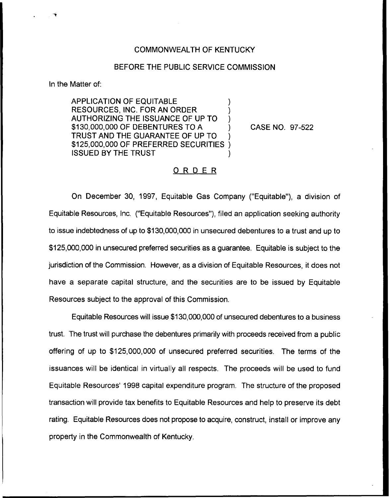## COMMONWEALTH OF KENTUCKY

## BEFORE THE PUBLIC SERVICE COMMISSION

In the Matter of:

APPLICATION OF EQUITABLE ) RESOURCES, INC. FOR AN ORDER ) AUTHORIZING THE ISSUANCE OF UP TO ) \$130,000,000 OF DEBENTURES TO <sup>A</sup> ) TRUST AND THE GUARANTEE OF UP TO ) \$125,000,000 OF PREFERRED SECURITIES **ISSUED BY THE TRUST** 

CASE NO. 97-522

## ORDER

On December 30, 1997, Equitable Gas Company ("Equitable"), a division of Equitable Resources, Inc. ("Equitable Resources" ), filed an application seeking authority to issue indebtedness of up to \$130,000,000 in unsecured debentures to a trust and up to \$125,000,000 in unsecured preferred securities as a guarantee. Equitable is subject to the jurisdiction of the Commission. However, as a division of Equitable Resources, it does not have a separate capital structure, and the securities are to be issued by Equitable Resources subject to the approval of this Commission.

Equitable Resources will issue \$130,000,000 of unsecured debentures to a business trust. The trust will purchase the debentures primarily with proceeds received from a public offering of up to \$125,000,000 of unsecured preferred securities. The terms of the issuances will be identical in virtually all respects. The proceeds will be used to fund Equitable Resources'998 capital expenditure program. The structure of the proposed transaction will provide tax benefits to Equitable Resources and help to preserve its debt rating. Equitable Resources does not propose to acquire, construct, install or improve any property in the Commonwealth of Kentucky.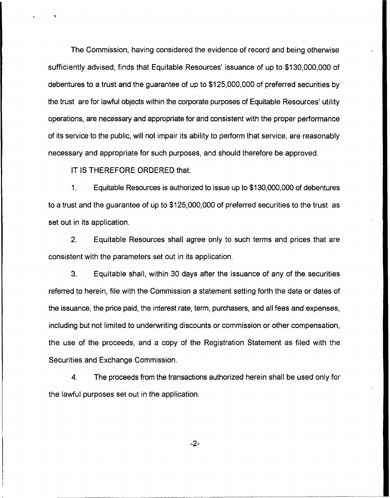The Commission, having considered the evidence of record and being otherwise sufficiently advised, finds that Equitable Resources' issuance of up to \$130,000,000 of debentures to a trust and the guarantee of up to \$125,000,000 of preferred securities by the trust are for lawful objects within the corporate purposes of Equitable Resources' utility operations, are necessary and appropriate for and consistent with the proper performance of its service to the public, will not impair its ability to perform that service, are reasonably necessary and appropriate for such purposes, and should therefore be approved.

IT IS THEREFORE ORDERED that:

 $1<sub>1</sub>$ Equitable Resources is authorized to issue up to \$130,000,000 of debentures to a trust and the guarantee of up to \$125,000,000 of preferred securities to the trust as set out in its application.

2, Equitable Resources shall agree only to such terms and prices that are consistent with the parameters set out in its application.

3. Equitable shall, within 30 days after the issuance of any of the securities referred to herein, file with the Commission a statement setting forth the date or dates of the issuance, the price paid, the interest rate, term, purchasers, and all fees and expenses, including but not limited to underwriting discounts or commission or other compensation, the use of the proceeds, and a copy of the Registration Statement as filed with the Securities and Exchange Commission.

4. The proceeds from the transactions authorized herein shall be used only for the lawful purposes set out in the application.

 $-2-$